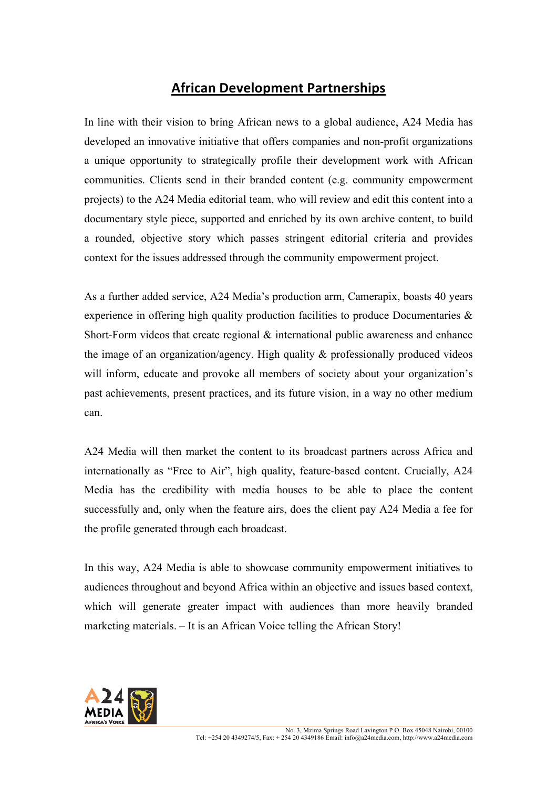## **African
Development
Partnerships**

In line with their vision to bring African news to a global audience, A24 Media has developed an innovative initiative that offers companies and non-profit organizations a unique opportunity to strategically profile their development work with African communities. Clients send in their branded content (e.g. community empowerment projects) to the A24 Media editorial team, who will review and edit this content into a documentary style piece, supported and enriched by its own archive content, to build a rounded, objective story which passes stringent editorial criteria and provides context for the issues addressed through the community empowerment project.

As a further added service, A24 Media's production arm, Camerapix, boasts 40 years experience in offering high quality production facilities to produce Documentaries & Short-Form videos that create regional  $\&$  international public awareness and enhance the image of an organization/agency. High quality & professionally produced videos will inform, educate and provoke all members of society about your organization's past achievements, present practices, and its future vision, in a way no other medium can.

A24 Media will then market the content to its broadcast partners across Africa and internationally as "Free to Air", high quality, feature-based content. Crucially, A24 Media has the credibility with media houses to be able to place the content successfully and, only when the feature airs, does the client pay A24 Media a fee for the profile generated through each broadcast.

In this way, A24 Media is able to showcase community empowerment initiatives to audiences throughout and beyond Africa within an objective and issues based context, which will generate greater impact with audiences than more heavily branded marketing materials. – It is an African Voice telling the African Story!

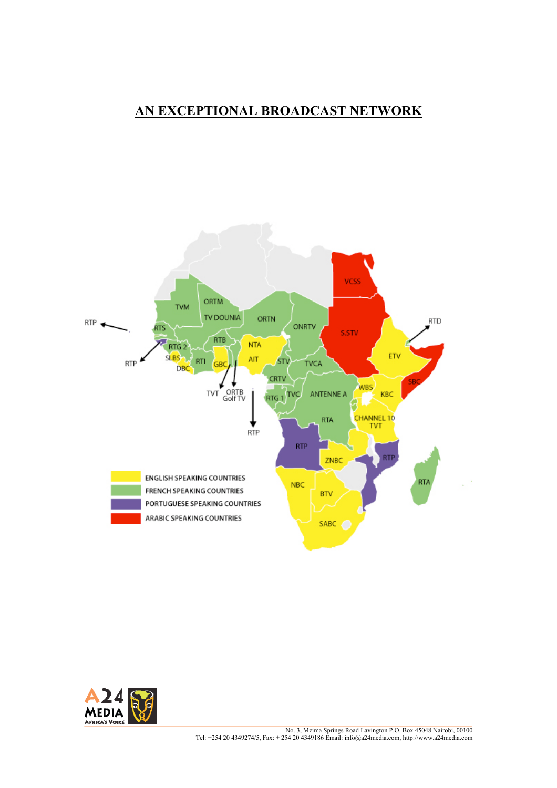## **AN EXCEPTIONAL BROADCAST NETWORK**